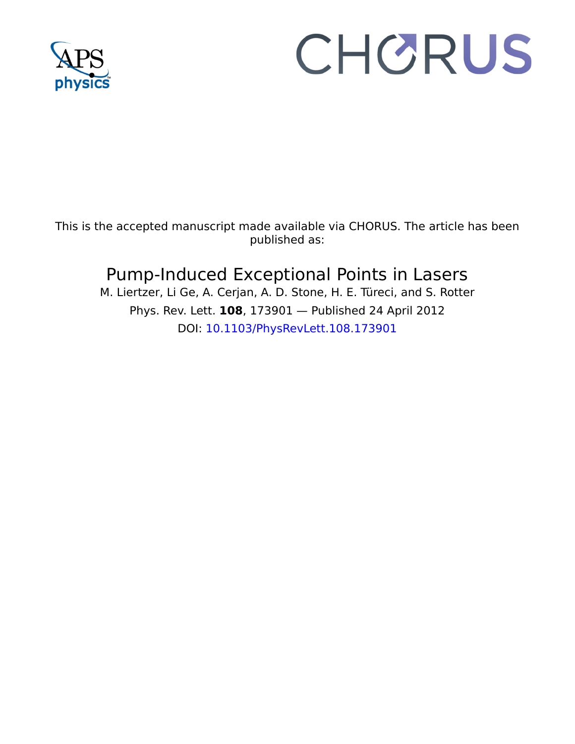

## CHORUS

This is the accepted manuscript made available via CHORUS. The article has been published as:

## Pump-Induced Exceptional Points in Lasers

M. Liertzer, Li Ge, A. Cerjan, A. D. Stone, H. E. Türeci, and S. Rotter Phys. Rev. Lett. **108**, 173901 — Published 24 April 2012 DOI: [10.1103/PhysRevLett.108.173901](http://dx.doi.org/10.1103/PhysRevLett.108.173901)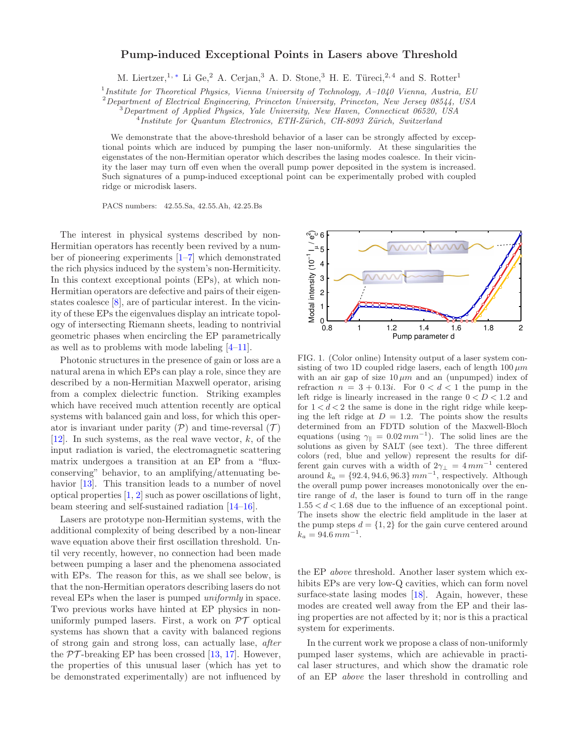## Pump-induced Exceptional Points in Lasers above Threshold

M. Liertzer,<sup>1,\*</sup> Li Ge,<sup>2</sup> A. Cerjan,<sup>3</sup> A. D. Stone,<sup>3</sup> H. E. Türeci,<sup>2,4</sup> and S. Rotter<sup>1</sup>

<sup>1</sup>Institute for Theoretical Physics, Vienna University of Technology, A-1040 Vienna, Austria, EU

 $2$  Department of Electrical Engineering, Princeton University, Princeton, New Jersey 08544, USA

 $3$ Department of Applied Physics, Yale University, New Haven, Connecticut 06520, USA

<sup>4</sup>Institute for Quantum Electronics, ETH-Zürich, CH-8093 Zürich, Switzerland

We demonstrate that the above-threshold behavior of a laser can be strongly affected by exceptional points which are induced by pumping the laser non-uniformly. At these singularities the eigenstates of the non-Hermitian operator which describes the lasing modes coalesce. In their vicinity the laser may turn off even when the overall pump power deposited in the system is increased. Such signatures of a pump-induced exceptional point can be experimentally probed with coupled ridge or microdisk lasers.

PACS numbers: 42.55.Sa, 42.55.Ah, 42.25.Bs

physical systems described by non-<br>
rs has recently been revived by a num-<br>
experiments [1–7] which demonstrated<br>
duced by the system's non-Hermiticity.<br>
ceptional points (EPs), at which non-<br>
rs are defective and pairs o The interest in physical systems described by non-Hermitian operators has recently been revived by a number of pioneering experiments [1–7] which demonstrated the rich physics induced by the system's non-Hermiticity. In this context exceptional points (EPs), at which non-Hermitian operators are defective and pairs of their eigenstates coalesce [8], are of particular interest. In the vicinity of these EPs the eigenvalues display an intricate topology of intersecting Riemann sheets, leading to nontrivial geometric phases when encircling the EP parametrically as well as to problems with mode labeling [4–11].

Photonic structures in the presence of gain or loss are a natural arena in which EPs can play a role, since they are described by a non-Hermitian Maxwell operator, arising from a complex dielectric function. Striking examples which have received much attention recently are optical systems with balanced gain and loss, for which this operator is invariant under parity  $(\mathcal{P})$  and time-reversal  $(\mathcal{T})$ [\[12\]](#page-5-0). In such systems, as the real wave vector,  $k$ , of the input radiation is varied, the electromagnetic scattering matrix undergoes a transition at an EP from a "fluxconserving" behavior, to an amplifying/attenuating be-havior [\[13\]](#page-5-1). This transition leads to a number of novel optical properties [1, 2] such as power oscillations of light, beam steering and self-sustained radiation [14–16].

Lasers are prototype non-Hermitian systems, with the additional complexity of being described by a non-linear wave equation above their first oscillation threshold. Until very recently, however, no connection had been made between pumping a laser and the phenomena associated with EPs. The reason for this, as we shall see below, is that the non-Hermitian operators describing lasers do not reveal EPs when the laser is pumped uniformly in space. Two previous works have hinted at EP physics in nonuniformly pumped lasers. First, a work on  $\mathcal{PT}$  optical systems has shown that a cavity with balanced regions of strong gain and strong loss, can actually lase, after the  $PT$ -breaking EP has been crossed [\[13](#page-5-1), [17\]](#page-5-4). However, the properties of this unusual laser (which has yet to be demonstrated experimentally) are not influenced by

<span id="page-1-0"></span>

Frace and induced gain and loss, for which this operator is a several for the model of the model of the system of the system of the system and pairs of the system of the system parameter and pairs of the system and pairs FIG. 1. (Color online) Intensity output of a laser system consisting of two 1D coupled ridge lasers, each of length  $100 \mu m$ with an air gap of size  $10 \mu m$  and an (unpumped) index of refraction  $n = 3 + 0.13i$ . For  $0 < d < 1$  the pump in the left ridge is linearly increased in the range  $0 < D < 1.2$  and for  $1 < d < 2$  the same is done in the right ridge while keeping the left ridge at  $D = 1.2$ . The points show the results determined from an FDTD solution of the Maxwell-Bloch equations (using  $\gamma_{\parallel} = 0.02 \, mm^{-1}$ ). The solid lines are the solutions as given by SALT (see text). The three different colors (red, blue and yellow) represent the results for different gain curves with a width of  $2\gamma_{\perp} = 4 \, mm^{-1}$  centered around  $k_a = \{92.4, 94.6, 96.3\}$   $mm^{-1}$ , respectively. Although the overall pump power increases monotonically over the entire range of d, the laser is found to turn off in the range  $1.55 < d < 1.68$  due to the influence of an exceptional point. The insets show the electric field amplitude in the laser at the pump steps  $d = \{1, 2\}$  for the gain curve centered around  $k_a = 94.6 \, mm^{-1}$ .

the EP above threshold. Another laser system which exhibits EPs are very low-Q cavities, which can form novel surface-state lasing modes [\[18\]](#page-5-5). Again, however, these modes are created well away from the EP and their lasing properties are not affected by it; nor is this a practical system for experiments.

In the current work we propose a class of non-uniformly pumped laser systems, which are achievable in practical laser structures, and which show the dramatic role of an EP above the laser threshold in controlling and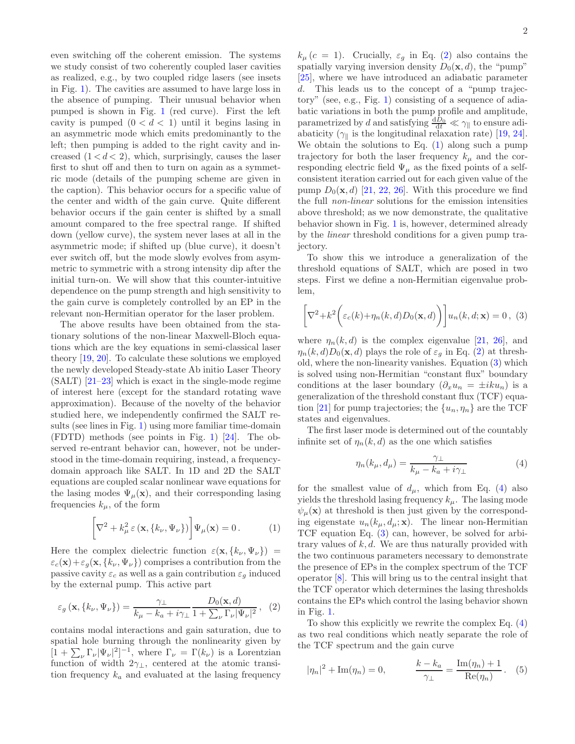even switching off the coherent emission. The systems we study consist of two coherently coupled laser cavities as realized, e.g., by two coupled ridge lasers (see insets in Fig. [1\)](#page-1-0). The cavities are assumed to have large loss in the absence of pumping. Their unusual behavior when pumped is shown in Fig. [1](#page-1-0) (red curve). First the left cavity is pumped  $(0 < d < 1)$  until it begins lasing in an asymmetric mode which emits predominantly to the left; then pumping is added to the right cavity and increased  $(1 < d < 2)$ , which, surprisingly, causes the laser first to shut off and then to turn on again as a symmetric mode (details of the pumping scheme are given in the caption). This behavior occurs for a specific value of the center and width of the gain curve. Quite different behavior occurs if the gain center is shifted by a small amount compared to the free spectral range. If shifted down (yellow curve), the system never lases at all in the asymmetric mode; if shifted up (blue curve), it doesn't ever switch off, but the mode slowly evolves from asymmetric to symmetric with a strong intensity dip after the initial turn-on. We will show that this counter-intuitive dependence on the pump strength and high sensitivity to the gain curve is completely controlled by an EP in the relevant non-Hermitian operator for the laser problem.

The above results have been obtained from the stationary solutions of the non-linear Maxwell-Bloch equations which are the key equations in semi-classical laser theory [\[19,](#page-5-6) [20](#page-5-7)]. To calculate these solutions we employed the newly developed Steady-state Ab initio Laser Theory  $(SALT)$  [\[21](#page-5-8)[–23](#page-5-9)] which is exact in the single-mode regime of interest here (except for the standard rotating wave approximation). Because of the novelty of the behavior studied here, we independently confirmed the SALT results (see lines in Fig. [1\)](#page-1-0) using more familiar time-domain (FDTD) methods (see points in Fig. [1\)](#page-1-0) [\[24\]](#page-5-10). The observed re-entrant behavior can, however, not be understood in the time-domain requiring, instead, a frequencydomain approach like SALT. In 1D and 2D the SALT equations are coupled scalar nonlinear wave equations for the lasing modes  $\Psi_{\mu}(\mathbf{x})$ , and their corresponding lasing frequencies  $k_{\mu}$ , of the form

<span id="page-2-1"></span>
$$
\left[\nabla^2 + k_\mu^2 \,\varepsilon\left(\mathbf{x}, \{k_\nu, \Psi_\nu\}\right)\right] \Psi_\mu(\mathbf{x}) = 0. \tag{1}
$$

Here the complex dielectric function  $\varepsilon(\mathbf{x}, \{k_{\nu}, \Psi_{\nu}\})$  =  $\varepsilon_c(\mathbf{x})+\varepsilon_g(\mathbf{x}, \{k_\nu, \Psi_\nu\})$  comprises a contribution from the passive cavity  $\varepsilon_c$  as well as a gain contribution  $\varepsilon_g$  induced by the external pump. This active part

<span id="page-2-0"></span>
$$
\varepsilon_g(\mathbf{x}, \{k_\nu, \Psi_\nu\}) = \frac{\gamma_\perp}{k_\mu - k_a + i\gamma_\perp} \frac{D_0(\mathbf{x}, d)}{1 + \sum_\nu \Gamma_\nu |\Psi_\nu|^2}, \tag{2}
$$

contains modal interactions and gain saturation, due to spatial hole burning through the nonlinearity given by  $[1 + \sum_{\nu} \Gamma_{\nu} |\Psi_{\nu}|^2]^{-1}$ , where  $\Gamma_{\nu} = \Gamma(k_{\nu})$  is a Lorentzian function of width  $2\gamma_{\perp}$ , centered at the atomic transition frequency  $k_a$  and evaluated at the lasing frequency

 $k_{\mu}$  (c = 1). Crucially,  $\varepsilon_g$  in Eq. [\(2\)](#page-2-0) also contains the spatially varying inversion density  $D_0(\mathbf{x}, d)$ , the "pump" [\[25\]](#page-5-11), where we have introduced an adiabatic parameter d. This leads us to the concept of a "pump trajectory" (see, e.g., Fig. [1\)](#page-1-0) consisting of a sequence of adiabatic variations in both the pump profile and amplitude, parametrized by d and satisfying  $\frac{dD_0}{dt} \ll \gamma_{\parallel}$  to ensure adiabaticity ( $\gamma_{\parallel}$  is the longitudinal relaxation rate) [\[19,](#page-5-6) [24\]](#page-5-10). We obtain the solutions to Eq.  $(1)$  along such a pump trajectory for both the laser frequency  $k_{\mu}$  and the corresponding electric field  $\Psi_{\mu}$  as the fixed points of a selfconsistent iteration carried out for each given value of the pump  $D_0(\mathbf{x}, d)$  [\[21,](#page-5-8) [22,](#page-5-12) [26\]](#page-5-13). With this procedure we find the full non-linear solutions for the emission intensities above threshold; as we now demonstrate, the qualitative behavior shown in Fig. [1](#page-1-0) is, however, determined already by the linear threshold conditions for a given pump trajectory.

To show this we introduce a generalization of the threshold equations of SALT, which are posed in two steps. First we define a non-Hermitian eigenvalue problem,

<span id="page-2-2"></span>
$$
\left[\nabla^2 + k^2 \bigg(\varepsilon_c(k) + \eta_n(k, d) D_0(\mathbf{x}, d)\bigg)\right] u_n(k, d; \mathbf{x}) = 0, (3)
$$

where  $\eta_n(k, d)$  is the complex eigenvalue [\[21,](#page-5-8) [26](#page-5-13)], and  $\eta_n(k, d)D_0(\mathbf{x}, d)$  plays the role of  $\varepsilon_q$  in Eq. [\(2\)](#page-2-0) at threshold, where the non-linearity vanishes. Equation [\(3\)](#page-2-2) which is solved using non-Hermitian "constant flux" boundary conditions at the laser boundary  $(\partial_x u_n = \pm i k u_n)$  is a generalization of the threshold constant flux (TCF) equa-tion [\[21\]](#page-5-8) for pump trajectories; the  $\{u_n, \eta_n\}$  are the TCF states and eigenvalues.

The first laser mode is determined out of the countably infinite set of  $\eta_n(k, d)$  as the one which satisfies

<span id="page-2-3"></span>
$$
\eta_n(k_\mu, d_\mu) = \frac{\gamma_\perp}{k_\mu - k_a + i\gamma_\perp} \tag{4}
$$

for the smallest value of  $d_{\mu}$ , which from Eq. [\(4\)](#page-2-3) also yields the threshold lasing frequency  $k_{\mu}$ . The lasing mode  $\psi_{\mu}(\mathbf{x})$  at threshold is then just given by the corresponding eigenstate  $u_n(k_\mu, d_\mu; \mathbf{x})$ . The linear non-Hermitian TCF equation Eq. [\(3\)](#page-2-2) can, however, be solved for arbitrary values of  $k, d$ . We are thus naturally provided with the two continuous parameters necessary to demonstrate the presence of EPs in the complex spectrum of the TCF operator [\[8](#page-4-3)]. This will bring us to the central insight that the TCF operator which determines the lasing thresholds contains the EPs which control the lasing behavior shown in Fig. [1.](#page-1-0)

To show this explicitly we rewrite the complex Eq. [\(4\)](#page-2-3) as two real conditions which neatly separate the role of the TCF spectrum and the gain curve

<span id="page-2-4"></span>
$$
|\eta_n|^2 + \text{Im}(\eta_n) = 0, \qquad \frac{k - k_a}{\gamma_{\perp}} = \frac{\text{Im}(\eta_n) + 1}{\text{Re}(\eta_n)}.
$$
 (5)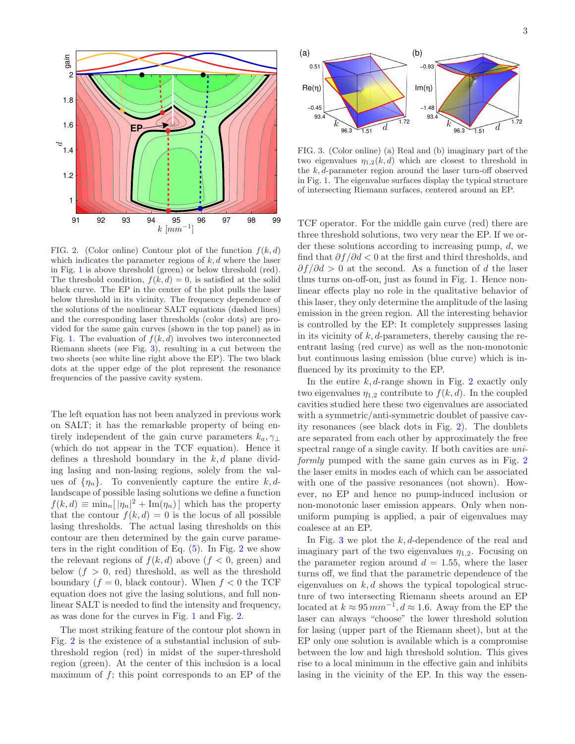

<span id="page-3-1"></span>FIG. 2. (Color online) Contour plot of the function  $f(k, d)$ which indicates the parameter regions of  $k, d$  where the laser in Fig. [1](#page-1-0) is above threshold (green) or below threshold (red). The threshold condition,  $f(k, d) = 0$ , is satisfied at the solid black curve. The EP in the center of the plot pulls the laser below threshold in its vicinity. The frequency dependence of the solutions of the nonlinear SALT equations (dashed lines) and the corresponding laser thresholds (color dots) are provided for the same gain curves (shown in the top panel) as in Fig. [1.](#page-1-0) The evaluation of  $f(k, d)$  involves two interconnected Riemann sheets (see Fig. [3\)](#page-3-0), resulting in a cut between the two sheets (see white line right above the EP). The two black dots at the upper edge of the plot represent the resonance frequencies of the passive cavity system.

The left equation has not been analyzed in previous work on SALT; it has the remarkable property of being entirely independent of the gain curve parameters  $k_a, \gamma_{\perp}$ (which do not appear in the TCF equation). Hence it defines a threshold boundary in the  $k, d$  plane dividing lasing and non-lasing regions, solely from the values of  $\{\eta_n\}$ . To conveniently capture the entire k, dlandscape of possible lasing solutions we define a function  $f(k, d) \equiv \min_n [|\eta_n|^2 + \text{Im}(\eta_n)]$  which has the property that the contour  $f(k, d) = 0$  is the locus of all possible lasing thresholds. The actual lasing thresholds on this contour are then determined by the gain curve parameters in the right condition of Eq.  $(5)$ . In Fig. [2](#page-3-1) we show the relevant regions of  $f(k, d)$  above  $(f < 0$ , green) and below  $(f > 0, \text{ red})$  threshold, as well as the threshold boundary  $(f = 0, \text{ black contour})$ . When  $f < 0$  the TCF equation does not give the lasing solutions, and full nonlinear SALT is needed to find the intensity and frequency, as was done for the curves in Fig. [1](#page-1-0) and Fig. [2.](#page-3-1)

The most striking feature of the contour plot shown in Fig. [2](#page-3-1) is the existence of a substantial inclusion of subthreshold region (red) in midst of the super-threshold region (green). At the center of this inclusion is a local maximum of  $f$ ; this point corresponds to an EP of the



<span id="page-3-0"></span>FIG. 3. (Color online) (a) Real and (b) imaginary part of the two eigenvalues  $\eta_{1,2}(k, d)$  which are closest to threshold in the  $k, d$ -parameter region around the laser turn-off observed in Fig. [1.](#page-1-0) The eigenvalue surfaces display the typical structure of intersecting Riemann surfaces, centered around an EP.

TCF operator. For the middle gain curve (red) there are three threshold solutions, two very near the EP. If we order these solutions according to increasing pump, d, we find that  $\partial f / \partial d < 0$  at the first and third thresholds, and  $\partial f / \partial d > 0$  at the second. As a function of d the laser thus turns on-off-on, just as found in Fig. [1.](#page-1-0) Hence nonlinear effects play no role in the qualitative behavior of this laser, they only determine the amplitude of the lasing emission in the green region. All the interesting behavior is controlled by the EP: It completely suppresses lasing in its vicinity of  $k, d$ -parameters, thereby causing the reentrant lasing (red curve) as well as the non-monotonic but continuous lasing emission (blue curve) which is influenced by its proximity to the EP.

In the entire  $k, d$ -range shown in Fig. [2](#page-3-1) exactly only two eigenvalues  $\eta_{1,2}$  contribute to  $f(k, d)$ . In the coupled cavities studied here these two eigenvalues are associated with a symmetric/anti-symmetric doublet of passive cavity resonances (see black dots in Fig. [2\)](#page-3-1). The doublets are separated from each other by approximately the free spectral range of a single cavity. If both cavities are *uni*-formly pumped with the same gain curves as in Fig. [2](#page-3-1) the laser emits in modes each of which can be associated with one of the passive resonances (not shown). However, no EP and hence no pump-induced inclusion or non-monotonic laser emission appears. Only when nonuniform pumping is applied, a pair of eigenvalues may coalesce at an EP.

In Fig. [3](#page-3-0) we plot the  $k, d$ -dependence of the real and imaginary part of the two eigenvalues  $\eta_{1,2}$ . Focusing on the parameter region around  $d = 1.55$ , where the laser turns off, we find that the parametric dependence of the eigenvalues on  $k, d$  shows the typical topological structure of two intersecting Riemann sheets around an EP located at  $k \approx 95 \, mm^{-1}$ ,  $d \approx 1.6$ . Away from the EP the laser can always "choose" the lower threshold solution for lasing (upper part of the Riemann sheet), but at the EP only one solution is available which is a compromise between the low and high threshold solution. This gives rise to a local minimum in the effective gain and inhibits lasing in the vicinity of the EP. In this way the essen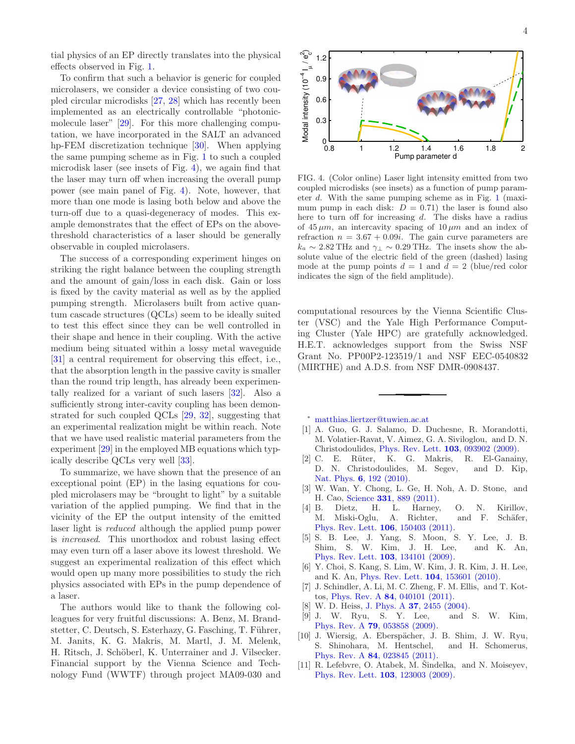tial physics of an EP directly translates into the physical effects observed in Fig. [1.](#page-1-0)

To confirm that such a behavior is generic for coupled microlasers, we consider a device consisting of two coupled circular microdisks [\[27,](#page-5-14) [28](#page-5-15)] which has recently been implemented as an electrically controllable "photonicmolecule laser" [\[29\]](#page-5-16). For this more challenging computation, we have incorporated in the SALT an advanced hp-FEM discretization technique [\[30](#page-5-17)]. When applying the same pumping scheme as in Fig. [1](#page-1-0) to such a coupled microdisk laser (see insets of Fig. [4\)](#page-4-7), we again find that the laser may turn off when increasing the overall pump power (see main panel of Fig. [4\)](#page-4-7). Note, however, that more than one mode is lasing both below and above the turn-off due to a quasi-degeneracy of modes. This example demonstrates that the effect of EPs on the abovethreshold characteristics of a laser should be generally observable in coupled microlasers.

The success of a corresponding experiment hinges on striking the right balance between the coupling strength and the amount of gain/loss in each disk. Gain or loss is fixed by the cavity material as well as by the applied pumping strength. Microlasers built from active quantum cascade structures (QCLs) seem to be ideally suited to test this effect since they can be well controlled in their shape and hence in their coupling. With the active medium being situated within a lossy metal waveguide [\[31\]](#page-5-18) a central requirement for observing this effect, i.e., that the absorption length in the passive cavity is smaller than the round trip length, has already been experimentally realized for a variant of such lasers [\[32\]](#page-5-19). Also a sufficiently strong inter-cavity coupling has been demonstrated for such coupled QCLs [\[29,](#page-5-16) [32\]](#page-5-19), suggesting that an experimental realization might be within reach. Note that we have used realistic material parameters from the experiment [\[29](#page-5-16)] in the employed MB equations which typically describe QCLs very well [\[33](#page-5-20)].

To summarize, we have shown that the presence of an exceptional point (EP) in the lasing equations for coupled microlasers may be "brought to light" by a suitable variation of the applied pumping. We find that in the vicinity of the EP the output intensity of the emitted laser light is reduced although the applied pump power is increased. This unorthodox and robust lasing effect may even turn off a laser above its lowest threshold. We suggest an experimental realization of this effect which would open up many more possibilities to study the rich physics associated with EPs in the pump dependence of a laser.

The authors would like to thank the following colleagues for very fruitful discussions: A. Benz, M. Brandstetter, C. Deutsch, S. Esterhazy, G. Fasching, T. Führer, M. Janits, K. G. Makris, M. Martl, J. M. Melenk, H. Ritsch, J. Schöberl, K. Unterrainer and J. Vilsecker. Financial support by the Vienna Science and Technology Fund (WWTF) through project MA09-030 and



<span id="page-4-7"></span>FIG. 4. (Color online) Laser light intensity emitted from two coupled microdisks (see insets) as a function of pump parameter d. With the same pumping scheme as in Fig. [1](#page-1-0) (maximum pump in each disk:  $D = 0.71$ ) the laser is found also here to turn off for increasing  $d$ . The disks have a radius of  $45 \mu m$ , an intercavity spacing of  $10 \mu m$  and an index of refraction  $n = 3.67 + 0.09i$ . The gain curve parameters are  $k_a \sim 2.82 \text{ THz}$  and  $\gamma_{\perp} \sim 0.29 \text{ THz}$ . The insets show the absolute value of the electric field of the green (dashed) lasing mode at the pump points  $d = 1$  and  $\overline{d} = 2$  (blue/red color indicates the sign of the field amplitude).

computational resources by the Vienna Scientific Cluster (VSC) and the Yale High Performance Computing Cluster (Yale HPC) are gratefully acknowledged. H.E.T. acknowledges support from the Swiss NSF Grant No. PP00P2-123519/1 and NSF EEC-0540832 (MIRTHE) and A.D.S. from NSF DMR-0908437.

<span id="page-4-0"></span><sup>∗</sup> [matthias.liertzer@tuwien.ac.at](mailto:matthias.liertzer@tuwien.ac.at)

- <span id="page-4-1"></span>[1] A. Guo, G. J. Salamo, D. Duchesne, R. Morandotti, M. Volatier-Ravat, V. Aimez, G. A. Siviloglou, and D. N. Christodoulides, [Phys. Rev. Lett.](http://dx.doi.org/ 10.1103/PhysRevLett.103.093902) 103, 093902 (2009).
- <span id="page-4-6"></span>[2] C. E. Rüter, K. G. Makris, R. El-Ganainy, D. N. Christodoulides, M. Segev, and D. Kip, Nat. Phys. **6**[, 192 \(2010\).](http://dx.doi.org/ 10.1038/nphys1515)
- [3] W. Wan, Y. Chong, L. Ge, H. Noh, A. D. Stone, and H. Cao, Science 331[, 889 \(2011\).](http://dx.doi.org/10.1126/science.1200735)
- <span id="page-4-4"></span>[4] B. Dietz, H. L. Harney, O. N. Kirillov, M. Miski-Oglu, A. Richter, and F. Schäfer, [Phys. Rev. Lett.](http://dx.doi.org/ 10.1103/PhysRevLett.106.150403) 106, 150403 (2011).
- [5] S. B. Lee, J. Yang, S. Moon, S. Y. Lee, J. B. Shim, S. W. Kim, J. H. Lee, and K. An, [Phys. Rev. Lett.](http://dx.doi.org/10.1103/PhysRevLett.103.134101) 103, 134101 (2009).
- [6] Y. Choi, S. Kang, S. Lim, W. Kim, J. R. Kim, J. H. Lee, and K. An, [Phys. Rev. Lett.](http://dx.doi.org/10.1103/PhysRevLett.104.153601) 104, 153601 (2010).
- <span id="page-4-2"></span>[7] J. Schindler, A. Li, M. C. Zheng, F. M. Ellis, and T. Kottos, Phys. Rev. A 84[, 040101 \(2011\).](http://dx.doi.org/ 10.1103/PhysRevA.84.040101)
- <span id="page-4-3"></span>
- [8] W. D. Heiss, J. Phys. A **37**[, 2455 \(2004\).](http://dx.doi.org/10.1088/0305-4470/37/6/034)<br>[9] J. W. Ryu, S. Y. Lee, and S. W. Kim,  $[9]$  J. W. Ryu, S. Y. Lee, Phys. Rev. A 79[, 053858 \(2009\).](http://dx.doi.org/10.1103/PhysRevA.79.053858)
- [10] J. Wiersig, A. Eberspächer, J. B. Shim, J. W. Ryu, S. Shinohara, M. Hentschel, and H. Schomerus, Phys. Rev. A 84[, 023845 \(2011\).](http://dx.doi.org/ 10.1103/PhysRevA.84.023845)
- <span id="page-4-5"></span> $[11]$  R. Lefebvre, O. Atabek, M. Šindelka, and N. Moiseyev, [Phys. Rev. Lett.](http://dx.doi.org/10.1103/PhysRevLett.103.123003) 103, 123003 (2009).